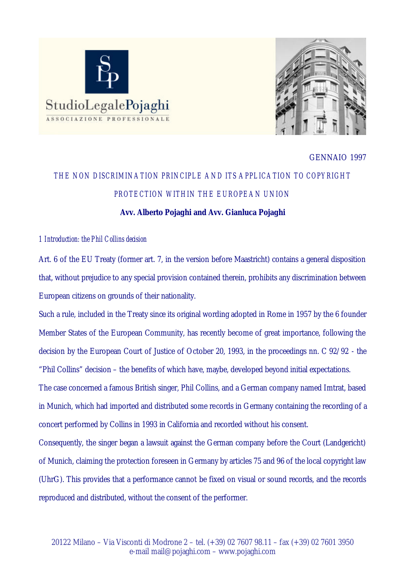



## GENNAIO 1997

# *THE NON DISCRIMINATION PRINCIPLE AND ITS APPLICATION TO COPYRIGHT PROTECTION WITHIN THE EUROPEAN UNION*

# **Avv. Alberto Pojaghi and Avv. Gianluca Pojaghi**

# *1 Introduction: the Phil Collins decision*

Art. 6 of the EU Treaty (former art. 7, in the version before Maastricht) contains a general disposition that, without prejudice to any special provision contained therein, prohibits any discrimination between European citizens on grounds of their nationality.

Such a rule, included in the Treaty since its original wording adopted in Rome in 1957 by the 6 founder Member States of the European Community, has recently become of great importance, following the decision by the European Court of Justice of October 20, 1993, in the proceedings nn. C 92/92 - the "Phil Collins" decision – the benefits of which have, maybe, developed beyond initial expectations.

The case concerned a famous British singer, Phil Collins, and a German company named Imtrat, based in Munich, which had imported and distributed some records in Germany containing the recording of a concert performed by Collins in 1993 in California and recorded without his consent.

Consequently, the singer began a lawsuit against the German company before the Court (Landgericht) of Munich, claiming the protection foreseen in Germany by articles 75 and 96 of the local copyright law (UhrG). This provides that a performance cannot be fixed on visual or sound records, and the records reproduced and distributed, without the consent of the performer.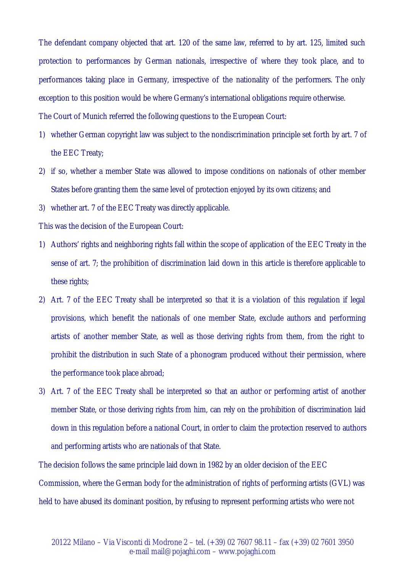The defendant company objected that art. 120 of the same law, referred to by art. 125, limited such protection to performances by German nationals, irrespective of where they took place, and to performances taking place in Germany, irrespective of the nationality of the performers. The only exception to this position would be where Germany's international obligations require otherwise. The Court of Munich referred the following questions to the European Court:

- 1) whether German copyright law was subject to the nondiscrimination principle set forth by art. 7 of the EEC Treaty;
- 2) if so, whether a member State was allowed to impose conditions on nationals of other member States before granting them the same level of protection enjoyed by its own citizens; and
- 3) whether art. 7 of the EEC Treaty was directly applicable.

This was the decision of the European Court:

- 1) Authors' rights and neighboring rights fall within the scope of application of the EEC Treaty in the sense of art. 7; the prohibition of discrimination laid down in this article is therefore applicable to these rights;
- 2) Art. 7 of the EEC Treaty shall be interpreted so that it is a violation of this regulation if legal provisions, which benefit the nationals of one member State, exclude authors and performing artists of another member State, as well as those deriving rights from them, from the right to prohibit the distribution in such State of a phonogram produced without their permission, where the performance took place abroad;
- 3) Art. 7 of the EEC Treaty shall be interpreted so that an author or performing artist of another member State, or those deriving rights from him, can rely on the prohibition of discrimination laid down in this regulation before a national Court, in order to claim the protection reserved to authors and performing artists who are nationals of that State.

The decision follows the same principle laid down in 1982 by an older decision of the EEC Commission, where the German body for the administration of rights of performing artists (GVL) was held to have abused its dominant position, by refusing to represent performing artists who were not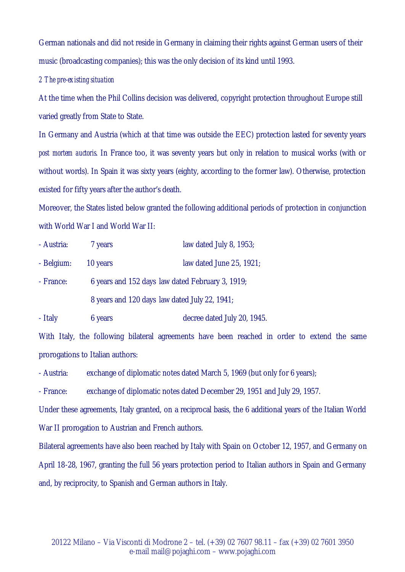German nationals and did not reside in Germany in claiming their rights against German users of their music (broadcasting companies); this was the only decision of its kind until 1993.

### *2 The pre-existing situation*

At the time when the Phil Collins decision was delivered, copyright protection throughout Europe still varied greatly from State to State.

In Germany and Austria (which at that time was outside the EEC) protection lasted for seventy years *post mortem auctoris*. In France too, it was seventy years but only in relation to musical works (with or without words). In Spain it was sixty years (eighty, according to the former law). Otherwise, protection existed for fifty years after the author's death.

Moreover, the States listed below granted the following additional periods of protection in conjunction with World War I and World War II:

| - Austria: | 7 years                                          | law dated July 8, 1953;  |  |
|------------|--------------------------------------------------|--------------------------|--|
| - Belgium: | 10 years                                         | law dated June 25, 1921; |  |
| - France:  | 6 years and 152 days law dated February 3, 1919; |                          |  |
|            | 8 years and 120 days law dated July 22, 1941;    |                          |  |
|            |                                                  |                          |  |

- Italy 6 years decree dated July 20, 1945.

With Italy, the following bilateral agreements have been reached in order to extend the same prorogations to Italian authors:

- Austria: exchange of diplomatic notes dated March 5, 1969 (but only for 6 years);

- France: exchange of diplomatic notes dated December 29, 1951 and July 29, 1957.

Under these agreements, Italy granted, on a reciprocal basis, the 6 additional years of the Italian World War II prorogation to Austrian and French authors.

Bilateral agreements have also been reached by Italy with Spain on October 12, 1957, and Germany on April 18-28, 1967, granting the full 56 years protection period to Italian authors in Spain and Germany and, by reciprocity, to Spanish and German authors in Italy.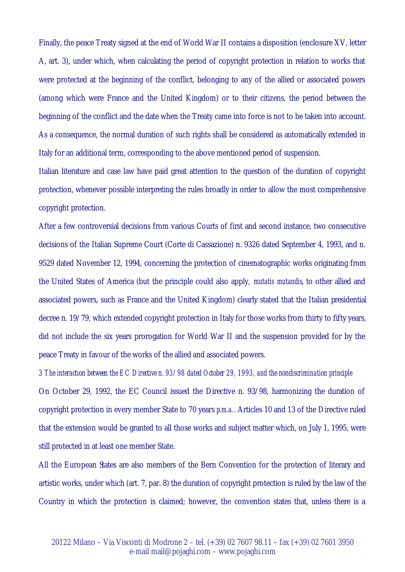Finally, the peace Treaty signed at the end of World War II contains a disposition (enclosure XV, letter A, art. 3), under which, when calculating the period of copyright protection in relation to works that were protected at the beginning of the conflict, belonging to any of the allied or associated powers (among which were France and the United Kingdom) or to their citizens, the period between the beginning of the conflict and the date when the Treaty came into force is not to be taken into account. As a consequence, the normal duration of such rights shall be considered as automatically extended in Italy for an additional term, corresponding to the above mentioned period of suspension.

Italian literature and case law have paid great attention to the question of the duration of copyright protection, whenever possible interpreting the rules broadly in order to allow the most comprehensive copyright protection.

After a few controversial decisions from various Courts of first and second instance, two consecutive decisions of the Italian Supreme Court (Corte di Cassazione) n. 9326 dated September 4, 1993, and n. 9529 dated November 12, 1994, concerning the protection of cinematographic works originating from the United States of America (but the principle could also apply, *mutatis mutandis*, to other allied and associated powers, such as France and the United Kingdom) clearly stated that the Italian presidential decree n. 19/79, which extended copyright protection in Italy for those works from thirty to fifty years, did not include the six years prorogation for World War II and the suspension provided for by the peace Treaty in favour of the works of the allied and associated powers.

*3 The interaction between the EC Directive n. 93/98 dated October 29, 1993, and the nondiscrimination principle* On October 29, 1992, the EC Council issued the Directive n. 93/98, harmonizing the duration of copyright protection in every member State to 70 years *p.m.a.*. Articles 10 and 13 of the Directive ruled that the extension would be granted to all those works and subject matter which, on July 1, 1995, were still protected in at least one member State.

All the European States are also members of the Bern Convention for the protection of literary and artistic works, under which (art. 7, par. 8) the duration of copyright protection is ruled by the law of the Country in which the protection is claimed; however, the convention states that, unless there is a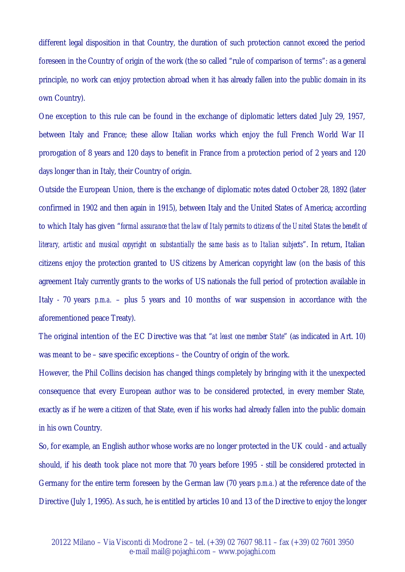different legal disposition in that Country, the duration of such protection cannot exceed the period foreseen in the Country of origin of the work (the so called "rule of comparison of terms": as a general principle, no work can enjoy protection abroad when it has already fallen into the public domain in its own Country).

One exception to this rule can be found in the exchange of diplomatic letters dated July 29, 1957, between Italy and France; these allow Italian works which enjoy the full French World War II prorogation of 8 years and 120 days to benefit in France from a protection period of 2 years and 120 days longer than in Italy, their Country of origin.

Outside the European Union, there is the exchange of diplomatic notes dated October 28, 1892 (later confirmed in 1902 and then again in 1915), between Italy and the United States of America; according to which Italy has given "*formal assurance that the law of Italy permits to citizens of the United States the benefit of literary, artistic and musical copyright on substantially the same basis as to Italian subjects*". In return, Italian citizens enjoy the protection granted to US citizens by American copyright law (on the basis of this agreement Italy currently grants to the works of US nationals the full period of protection available in Italy - 70 years *p.m.a.* – plus 5 years and 10 months of war suspension in accordance with the aforementioned peace Treaty).

The original intention of the EC Directive was that "*at least one member State*" (as indicated in Art. 10) was meant to be – save specific exceptions – the Country of origin of the work.

However, the Phil Collins decision has changed things completely by bringing with it the unexpected consequence that every European author was to be considered protected, in every member State, exactly as if he were a citizen of that State, even if his works had already fallen into the public domain in his own Country.

So, for example, an English author whose works are no longer protected in the UK could - and actually should, if his death took place not more that 70 years before 1995 - still be considered protected in Germany for the entire term foreseen by the German law (70 years *p.m.a.*) at the reference date of the Directive (July 1, 1995). As such, he is entitled by articles 10 and 13 of the Directive to enjoy the longer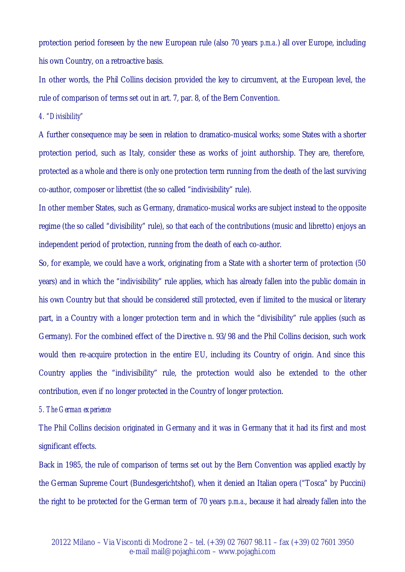protection period foreseen by the new European rule (also 70 years *p.m.a.*) all over Europe, including his own Country, on a retroactive basis.

In other words, the Phil Collins decision provided the key to circumvent, at the European level, the rule of comparison of terms set out in art. 7, par. 8, of the Bern Convention.

*4. "Divisibility"*

A further consequence may be seen in relation to dramatico-musical works; some States with a shorter protection period, such as Italy, consider these as works of joint authorship. They are, therefore, protected as a whole and there is only one protection term running from the death of the last surviving co-author, composer or librettist (the so called "indivisibility" rule).

In other member States, such as Germany, dramatico-musical works are subject instead to the opposite regime (the so called "divisibility" rule), so that each of the contributions (music and libretto) enjoys an independent period of protection, running from the death of each co-author.

So, for example, we could have a work, originating from a State with a shorter term of protection (50 years) and in which the "indivisibility" rule applies, which has already fallen into the public domain in his own Country but that should be considered still protected, even if limited to the musical or literary part, in a Country with a longer protection term and in which the "divisibility" rule applies (such as Germany). For the combined effect of the Directive n. 93/98 and the Phil Collins decision, such work would then re-acquire protection in the entire EU, including its Country of origin. And since this Country applies the "indivisibility" rule, the protection would also be extended to the other contribution, even if no longer protected in the Country of longer protection.

#### *5. The German experience*

The Phil Collins decision originated in Germany and it was in Germany that it had its first and most significant effects.

Back in 1985, the rule of comparison of terms set out by the Bern Convention was applied exactly by the German Supreme Court (Bundesgerichtshof), when it denied an Italian opera ("Tosca" by Puccini) the right to be protected for the German term of 70 years *p.m.a.*, because it had already fallen into the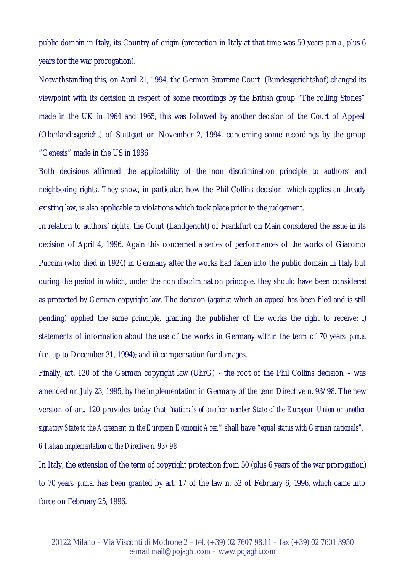public domain in Italy, its Country of origin (protection in Italy at that time was 50 years *p.m.a.*, plus 6 years for the war prorogation).

Notwithstanding this, on April 21, 1994, the German Supreme Court (Bundesgerichtshof) changed its viewpoint with its decision in respect of some recordings by the British group "The rolling Stones" made in the UK in 1964 and 1965; this was followed by another decision of the Court of Appeal (Oberlandesgericht) of Stuttgart on November 2, 1994, concerning some recordings by the group "Genesis" made in the US in 1986.

Both decisions affirmed the applicability of the non discrimination principle to authors' and neighboring rights. They show, in particular, how the Phil Collins decision, which applies an already existing law, is also applicable to violations which took place prior to the judgement.

In relation to authors' rights, the Court (Landgericht) of Frankfurt on Main considered the issue in its decision of April 4, 1996. Again this concerned a series of performances of the works of Giacomo Puccini (who died in 1924) in Germany after the works had fallen into the public domain in Italy but during the period in which, under the non discrimination principle, they should have been considered as protected by German copyright law. The decision (against which an appeal has been filed and is still pending) applied the same principle, granting the publisher of the works the right to receive: i) statements of information about the use of the works in Germany within the term of 70 years *p.m.a.* (i.e. up to December 31, 1994); and ii) compensation for damages.

Finally, art. 120 of the German copyright law (UhrG) - the root of the Phil Collins decision – was amended on July 23, 1995, by the implementation in Germany of the term Directive n. 93/98. The new version of art. 120 provides today that "*nationals of another member State of the European Union or another signatory State to the Agreement on the European Economic Area*" shall have "*equal status with German nationals*". *6 Italian implementation of the Directive n. 93/98*

In Italy, the extension of the term of copyright protection from 50 (plus 6 years of the war prorogation) to 70 years *p.m.a.* has been granted by art. 17 of the law n. 52 of February 6, 1996, which came into force on February 25, 1996.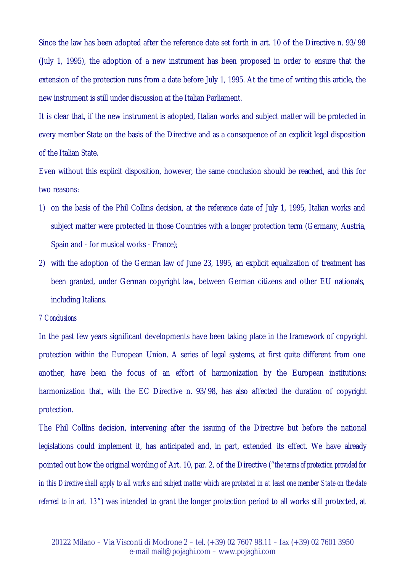Since the law has been adopted after the reference date set forth in art. 10 of the Directive n. 93/98 (July 1, 1995), the adoption of a new instrument has been proposed in order to ensure that the extension of the protection runs from a date before July 1, 1995. At the time of writing this article, the new instrument is still under discussion at the Italian Parliament.

It is clear that, if the new instrument is adopted, Italian works and subject matter will be protected in every member State on the basis of the Directive and as a consequence of an explicit legal disposition of the Italian State.

Even without this explicit disposition, however, the same conclusion should be reached, and this for two reasons:

- 1) on the basis of the Phil Collins decision, at the reference date of July 1, 1995, Italian works and subject matter were protected in those Countries with a longer protection term (Germany, Austria, Spain and - for musical works - France);
- 2) with the adoption of the German law of June 23, 1995, an explicit equalization of treatment has been granted, under German copyright law, between German citizens and other EU nationals, including Italians.

## *7 Conclusions*

In the past few years significant developments have been taking place in the framework of copyright protection within the European Union. A series of legal systems, at first quite different from one another, have been the focus of an effort of harmonization by the European institutions: harmonization that, with the EC Directive n. 93/98, has also affected the duration of copyright protection.

The Phil Collins decision, intervening after the issuing of the Directive but before the national legislations could implement it, has anticipated and, in part, extended its effect. We have already pointed out how the original wording of Art. 10, par. 2, of the Directive ("*the terms of protection provided for in this Directive shall apply to all works and subject matter which are protected in at least one member State on the date referred to in art. 13*") was intended to grant the longer protection period to all works still protected, at